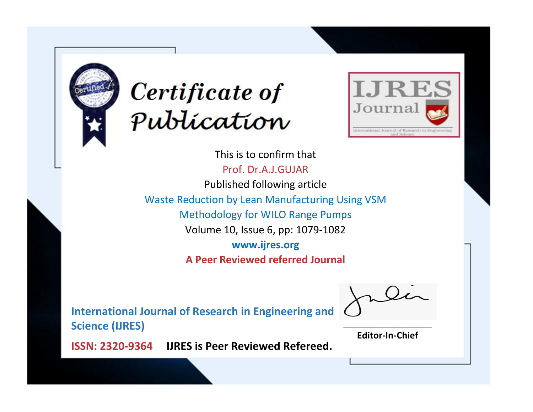



This is to confirm that Prof. Dr.A.J.GUJAR Published following article Waste Reduction by Lean Manufacturing Using VSM Methodology for WILO Range Pumps Volume 10, Issue 6, pp: 1079-1082 **www.ijres.org A Peer Reviewed referred Journal**

**International Journal of Research in Engineering and Science (IJRES)**

\_\_\_\_\_\_\_\_\_\_\_\_\_\_\_\_\_\_\_\_\_\_\_\_ **Editor-In-Chief**

**Journal.**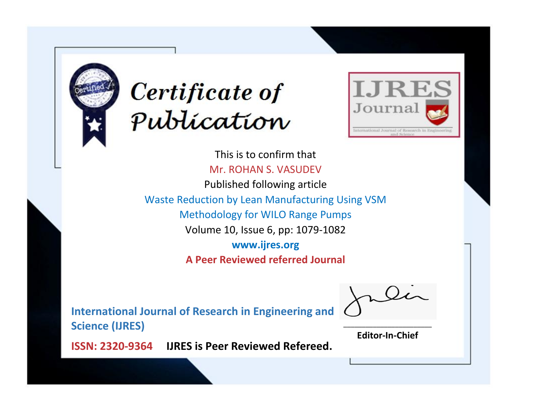



This is to confirm that Mr. ROHAN S. VASUDEV Published following article Waste Reduction by Lean Manufacturing Using VSM Methodology for WILO Range Pumps Volume 10, Issue 6, pp: 1079-1082 **www.ijres.org A Peer Reviewed referred Journal**

**International Journal of Research in Engineering and Science (IJRES)**

\_\_\_\_\_\_\_\_\_\_\_\_\_\_\_\_\_\_\_\_\_\_\_\_ **Editor-In-Chief**

**Journal.**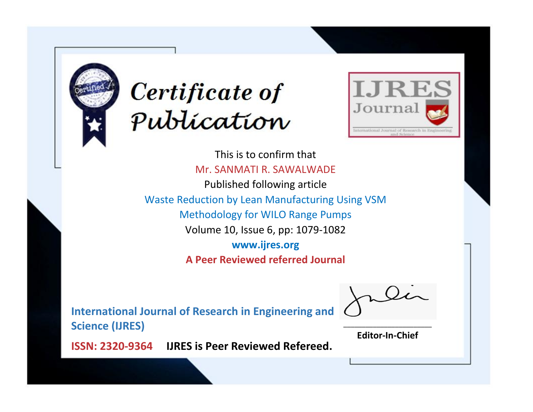



This is to confirm that Mr. SANMATI R. SAWALWADE Published following article Waste Reduction by Lean Manufacturing Using VSM Methodology for WILO Range Pumps Volume 10, Issue 6, pp: 1079-1082 **www.ijres.org A Peer Reviewed referred Journal**

**International Journal of Research in Engineering and Science (IJRES)**

\_\_\_\_\_\_\_\_\_\_\_\_\_\_\_\_\_\_\_\_\_\_\_\_ **Editor-In-Chief**

**Journal.**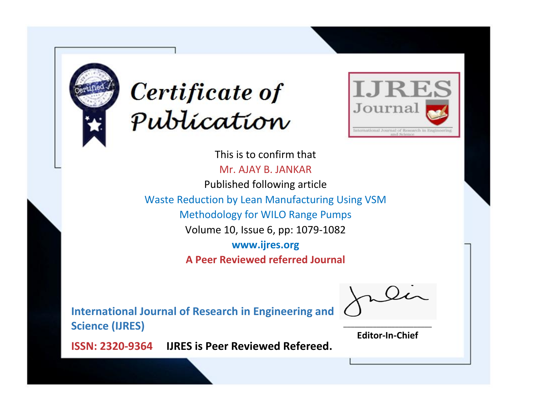



This is to confirm that Mr. AJAY B. JANKAR Published following article Waste Reduction by Lean Manufacturing Using VSM Methodology for WILO Range Pumps Volume 10, Issue 6, pp: 1079-1082 **www.ijres.org A Peer Reviewed referred Journal**

**International Journal of Research in Engineering and Science (IJRES)**

\_\_\_\_\_\_\_\_\_\_\_\_\_\_\_\_\_\_\_\_\_\_\_\_ **Editor-In-Chief**

**Journal.**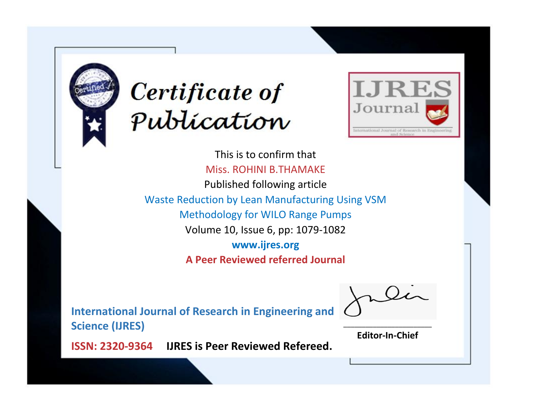



This is to confirm that Miss. ROHINI B.THAMAKE Published following article Waste Reduction by Lean Manufacturing Using VSM Methodology for WILO Range Pumps Volume 10, Issue 6, pp: 1079-1082 **www.ijres.org A Peer Reviewed referred Journal**

**International Journal of Research in Engineering and Science (IJRES)**

\_\_\_\_\_\_\_\_\_\_\_\_\_\_\_\_\_\_\_\_\_\_\_\_ **Editor-In-Chief**

**Journal.**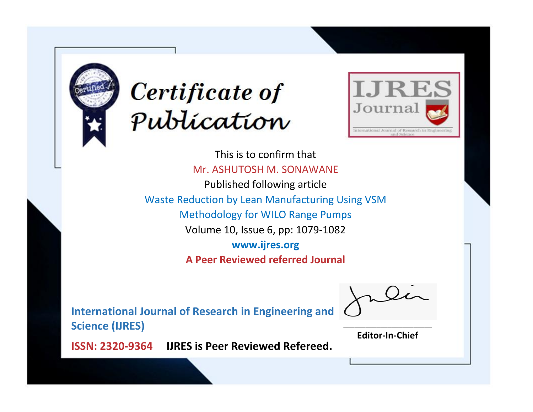



This is to confirm that Mr. ASHUTOSH M. SONAWANE Published following article Waste Reduction by Lean Manufacturing Using VSM Methodology for WILO Range Pumps Volume 10, Issue 6, pp: 1079-1082 **www.ijres.org A Peer Reviewed referred Journal**

**International Journal of Research in Engineering and Science (IJRES)**

\_\_\_\_\_\_\_\_\_\_\_\_\_\_\_\_\_\_\_\_\_\_\_\_ **Editor-In-Chief**

**Journal.**